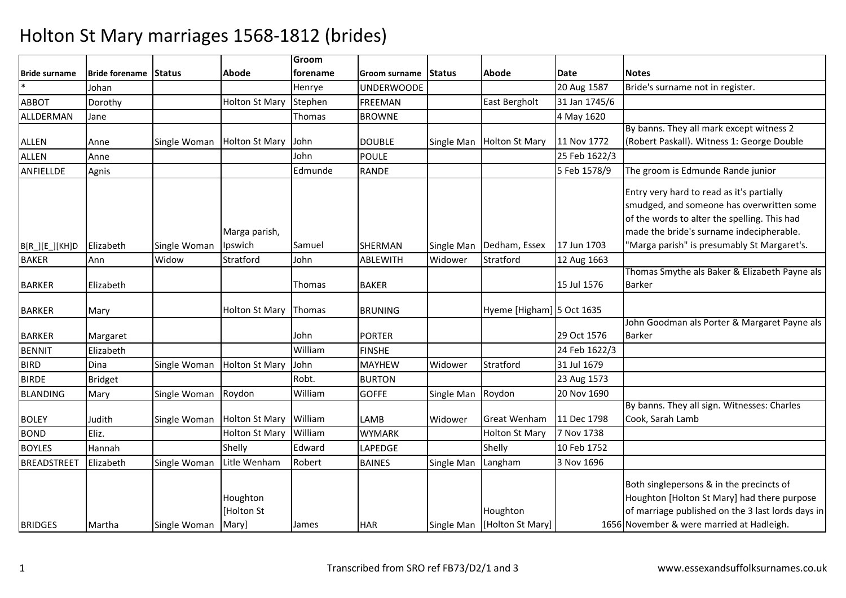|                      |                       |              |                                 | Groom    |                      |            |                              |               |                                                                                                                                                                                                                                   |
|----------------------|-----------------------|--------------|---------------------------------|----------|----------------------|------------|------------------------------|---------------|-----------------------------------------------------------------------------------------------------------------------------------------------------------------------------------------------------------------------------------|
| <b>Bride surname</b> | Bride forename Status |              | Abode                           | forename | Groom surname Status |            | Abode                        | <b>Date</b>   | <b>Notes</b>                                                                                                                                                                                                                      |
|                      | Johan                 |              |                                 | Henrye   | <b>UNDERWOODE</b>    |            |                              | 20 Aug 1587   | Bride's surname not in register.                                                                                                                                                                                                  |
| <b>ABBOT</b>         | Dorothy               |              | <b>Holton St Mary</b>           | Stephen  | <b>FREEMAN</b>       |            | East Bergholt                | 31 Jan 1745/6 |                                                                                                                                                                                                                                   |
| ALLDERMAN            | Jane                  |              |                                 | Thomas   | <b>BROWNE</b>        |            |                              | 4 May 1620    |                                                                                                                                                                                                                                   |
|                      |                       |              |                                 |          |                      |            |                              |               | By banns. They all mark except witness 2                                                                                                                                                                                          |
| <b>ALLEN</b>         | Anne                  | Single Woman | <b>Holton St Mary</b>           | John     | <b>DOUBLE</b>        | Single Man | <b>Holton St Mary</b>        | 11 Nov 1772   | (Robert Paskall). Witness 1: George Double                                                                                                                                                                                        |
| ALLEN                | Anne                  |              |                                 | John     | <b>POULE</b>         |            |                              | 25 Feb 1622/3 |                                                                                                                                                                                                                                   |
| ANFIELLDE            | Agnis                 |              |                                 | Edmunde  | <b>RANDE</b>         |            |                              | 5 Feb 1578/9  | The groom is Edmunde Rande junior                                                                                                                                                                                                 |
|                      | Elizabeth             | Single Woman | Marga parish,<br>Ipswich        | Samuel   | SHERMAN              | Single Man | Dedham, Essex                | 17 Jun 1703   | Entry very hard to read as it's partially<br>smudged, and someone has overwritten some<br>of the words to alter the spelling. This had<br>made the bride's surname indecipherable.<br>'Marga parish" is presumably St Margaret's. |
| $B[R_.][E_.][KH]D$   |                       |              |                                 |          |                      |            |                              |               |                                                                                                                                                                                                                                   |
| <b>BAKER</b>         | Ann                   | Widow        | Stratford                       | John     | ABLEWITH             | Widower    | Stratford                    | 12 Aug 1663   | Thomas Smythe als Baker & Elizabeth Payne als                                                                                                                                                                                     |
| <b>BARKER</b>        | Elizabeth             |              |                                 | Thomas   | <b>BAKER</b>         |            |                              | 15 Jul 1576   | <b>Barker</b>                                                                                                                                                                                                                     |
| <b>BARKER</b>        | Mary                  |              | <b>Holton St Mary</b>           | Thomas   | <b>BRUNING</b>       |            | Hyeme [Higham] 5 Oct 1635    |               |                                                                                                                                                                                                                                   |
| <b>BARKER</b>        | Margaret              |              |                                 | John     | <b>PORTER</b>        |            |                              | 29 Oct 1576   | John Goodman als Porter & Margaret Payne als<br><b>Barker</b>                                                                                                                                                                     |
| <b>BENNIT</b>        | Elizabeth             |              |                                 | William  | <b>FINSHE</b>        |            |                              | 24 Feb 1622/3 |                                                                                                                                                                                                                                   |
| <b>BIRD</b>          | Dina                  | Single Woman | <b>Holton St Mary</b>           | John     | <b>MAYHEW</b>        | Widower    | Stratford                    | 31 Jul 1679   |                                                                                                                                                                                                                                   |
| <b>BIRDE</b>         | <b>Bridget</b>        |              |                                 | Robt.    | <b>BURTON</b>        |            |                              | 23 Aug 1573   |                                                                                                                                                                                                                                   |
| <b>BLANDING</b>      | Mary                  | Single Woman | Roydon                          | William  | <b>GOFFE</b>         | Single Man | Roydon                       | 20 Nov 1690   |                                                                                                                                                                                                                                   |
| <b>BOLEY</b>         | Judith                | Single Woman | Holton St Mary                  | William  | LAMB                 | Widower    | <b>Great Wenham</b>          | 11 Dec 1798   | By banns. They all sign. Witnesses: Charles<br>Cook, Sarah Lamb                                                                                                                                                                   |
| <b>BOND</b>          | Eliz.                 |              | <b>Holton St Mary</b>           | William  | <b>WYMARK</b>        |            | <b>Holton St Mary</b>        | 7 Nov 1738    |                                                                                                                                                                                                                                   |
| <b>BOYLES</b>        | Hannah                |              | Shelly                          | Edward   | LAPEDGE              |            | Shelly                       | 10 Feb 1752   |                                                                                                                                                                                                                                   |
| <b>BREADSTREET</b>   | Elizabeth             | Single Woman | Litle Wenham                    | Robert   | <b>BAINES</b>        | Single Man | Langham                      | 3 Nov 1696    |                                                                                                                                                                                                                                   |
| <b>BRIDGES</b>       | Martha                | Single Woman | Houghton<br>[Holton St<br>Mary] | James    | <b>HAR</b>           | Single Man | Houghton<br>[Holton St Mary] |               | Both singlepersons & in the precincts of<br>Houghton [Holton St Mary] had there purpose<br>of marriage published on the 3 last lords days in<br>1656 November & were married at Hadleigh.                                         |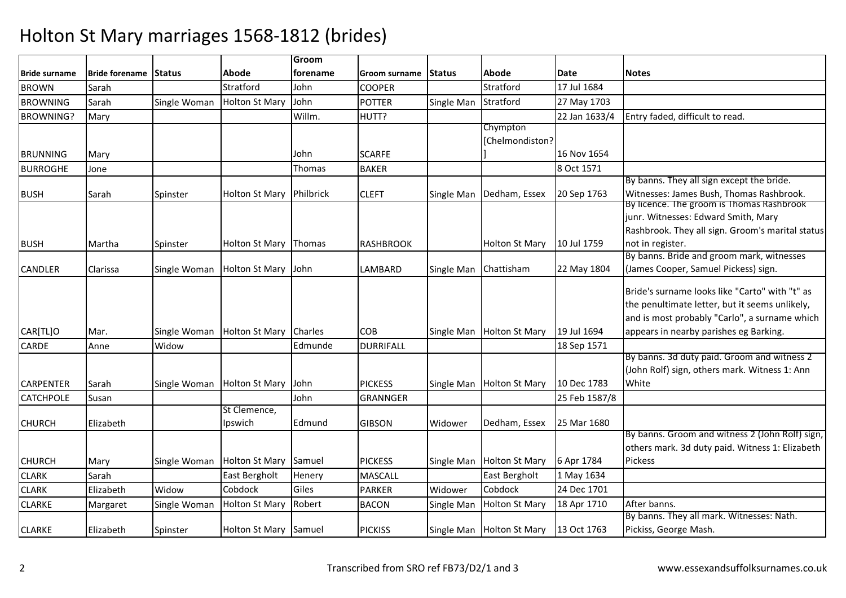|                      |                       |               |                          | Groom          |                  |               |                            |               |                                                                                       |
|----------------------|-----------------------|---------------|--------------------------|----------------|------------------|---------------|----------------------------|---------------|---------------------------------------------------------------------------------------|
| <b>Bride surname</b> | <b>Bride forename</b> | <b>Status</b> | Abode                    | forename       | Groom surname    | <b>Status</b> | Abode                      | <b>Date</b>   | <b>Notes</b>                                                                          |
| <b>BROWN</b>         | Sarah                 |               | Stratford                | John           | <b>COOPER</b>    |               | Stratford                  | 17 Jul 1684   |                                                                                       |
| <b>BROWNING</b>      | Sarah                 | Single Woman  | <b>Holton St Mary</b>    | John           | <b>POTTER</b>    | Single Man    | Stratford                  | 27 May 1703   |                                                                                       |
| <b>BROWNING?</b>     | Mary                  |               |                          | Willm.         | HUTT?            |               |                            | 22 Jan 1633/4 | Entry faded, difficult to read.                                                       |
|                      |                       |               |                          |                |                  |               | Chympton                   |               |                                                                                       |
|                      |                       |               |                          |                |                  |               | [Chelmondiston?            |               |                                                                                       |
| <b>BRUNNING</b>      | Mary                  |               |                          | John           | <b>SCARFE</b>    |               |                            | 16 Nov 1654   |                                                                                       |
| <b>BURROGHE</b>      | Jone                  |               |                          | Thomas         | <b>BAKER</b>     |               |                            | 8 Oct 1571    |                                                                                       |
|                      |                       |               |                          |                |                  |               |                            |               | By banns. They all sign except the bride.                                             |
| <b>BUSH</b>          | Sarah                 | Spinster      | Holton St Mary Philbrick |                | <b>CLEFT</b>     |               | Single Man   Dedham, Essex | 20 Sep 1763   | Witnesses: James Bush, Thomas Rashbrook.<br>By licence. The groom is Thomas Rashbrook |
|                      |                       |               |                          |                |                  |               |                            |               | junr. Witnesses: Edward Smith, Mary                                                   |
|                      |                       |               |                          |                |                  |               |                            |               | Rashbrook. They all sign. Groom's marital status                                      |
| <b>BUSH</b>          | Martha                |               | Holton St Mary Thomas    |                | <b>RASHBROOK</b> |               | <b>Holton St Mary</b>      | 10 Jul 1759   | not in register.                                                                      |
|                      |                       | Spinster      |                          |                |                  |               |                            |               | By banns. Bride and groom mark, witnesses                                             |
| CANDLER              | Clarissa              | Single Woman  | Holton St Mary John      |                | LAMBARD          | Single Man    | Chattisham                 | 22 May 1804   | (James Cooper, Samuel Pickess) sign.                                                  |
|                      |                       |               |                          |                |                  |               |                            |               |                                                                                       |
|                      |                       |               |                          |                |                  |               |                            |               | Bride's surname looks like "Carto" with "t" as                                        |
|                      |                       |               |                          |                |                  |               |                            |               | the penultimate letter, but it seems unlikely,                                        |
|                      |                       |               |                          |                |                  |               |                            |               | and is most probably "Carlo", a surname which                                         |
| CAR[TL]O             | Mar.                  | Single Woman  | <b>Holton St Mary</b>    | <b>Charles</b> | <b>COB</b>       |               | Single Man Holton St Mary  | 19 Jul 1694   | appears in nearby parishes eg Barking.                                                |
| CARDE                | Anne                  | Widow         |                          | Edmunde        | <b>DURRIFALL</b> |               |                            | 18 Sep 1571   |                                                                                       |
|                      |                       |               |                          |                |                  |               |                            |               | By banns. 3d duty paid. Groom and witness 2                                           |
|                      |                       |               |                          |                |                  |               |                            |               | (John Rolf) sign, others mark. Witness 1: Ann                                         |
| <b>CARPENTER</b>     | Sarah                 | Single Woman  | <b>Holton St Mary</b>    | John           | <b>PICKESS</b>   |               | Single Man Holton St Mary  | 10 Dec 1783   | White                                                                                 |
| CATCHPOLE            | Susan                 |               |                          | John           | GRANNGER         |               |                            | 25 Feb 1587/8 |                                                                                       |
|                      |                       |               | St Clemence,             |                |                  |               |                            |               |                                                                                       |
| <b>CHURCH</b>        | Elizabeth             |               | Ipswich                  | Edmund         | <b>GIBSON</b>    | Widower       | Dedham, Essex              | 25 Mar 1680   |                                                                                       |
|                      |                       |               |                          |                |                  |               |                            |               | By banns. Groom and witness 2 (John Rolf) sign,                                       |
|                      |                       |               |                          |                |                  |               |                            |               | others mark. 3d duty paid. Witness 1: Elizabeth<br><b>Pickess</b>                     |
| <b>CHURCH</b>        | Mary                  | Single Woman  | Holton St Mary Samuel    |                | <b>PICKESS</b>   |               | Single Man Holton St Mary  | 6 Apr 1784    |                                                                                       |
| <b>CLARK</b>         | Sarah                 |               | East Bergholt            | Henery         | <b>MASCALL</b>   |               | East Bergholt              | 1 May 1634    |                                                                                       |
| <b>CLARK</b>         | Elizabeth             | Widow         | Cobdock                  | Giles          | <b>PARKER</b>    | Widower       | Cobdock                    | 24 Dec 1701   |                                                                                       |
| <b>CLARKE</b>        | Margaret              | Single Woman  | <b>Holton St Mary</b>    | Robert         | <b>BACON</b>     | Single Man    | <b>Holton St Mary</b>      | 18 Apr 1710   | After banns.                                                                          |
|                      |                       |               |                          |                |                  |               |                            |               | By banns. They all mark. Witnesses: Nath.                                             |
| <b>CLARKE</b>        | Elizabeth             | Spinster      | Holton St Mary Samuel    |                | <b>PICKISS</b>   |               | Single Man Holton St Mary  | 13 Oct 1763   | Pickiss, George Mash.                                                                 |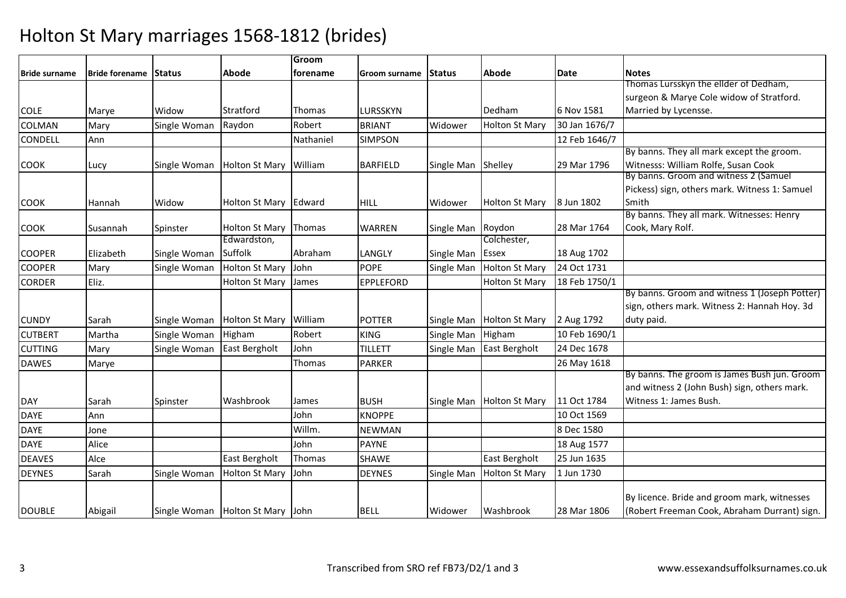|                      |                       |               |                                      | Groom     |                 |               |                       |               |                                                                                             |
|----------------------|-----------------------|---------------|--------------------------------------|-----------|-----------------|---------------|-----------------------|---------------|---------------------------------------------------------------------------------------------|
| <b>Bride surname</b> | <b>Bride forename</b> | <b>Status</b> | Abode                                | forename  | Groom surname   | <b>Status</b> | Abode                 | <b>Date</b>   | <b>Notes</b>                                                                                |
|                      |                       |               |                                      |           |                 |               |                       |               | Thomas Lursskyn the ellder of Dedham,                                                       |
|                      |                       |               |                                      |           |                 |               |                       |               | surgeon & Marye Cole widow of Stratford.                                                    |
| <b>COLE</b>          | Marye                 | Widow         | Stratford                            | Thomas    | LURSSKYN        |               | Dedham                | 6 Nov 1581    | Married by Lycensse.                                                                        |
| <b>COLMAN</b>        | Mary                  | Single Woman  | Raydon                               | Robert    | <b>BRIANT</b>   | Widower       | <b>Holton St Mary</b> | 30 Jan 1676/7 |                                                                                             |
| <b>CONDELL</b>       | Ann                   |               |                                      | Nathaniel | <b>SIMPSON</b>  |               |                       | 12 Feb 1646/7 |                                                                                             |
|                      |                       |               |                                      |           |                 |               |                       |               | By banns. They all mark except the groom.                                                   |
| <b>COOK</b>          | Lucy                  | Single Woman  | <b>Holton St Mary</b>                | William   | <b>BARFIELD</b> | Single Man    | Shelley               | 29 Mar 1796   | Witnesss: William Rolfe, Susan Cook                                                         |
|                      |                       |               |                                      |           |                 |               |                       |               | By banns. Groom and witness 2 (Samuel                                                       |
|                      |                       |               |                                      |           |                 |               |                       |               | Pickess) sign, others mark. Witness 1: Samuel                                               |
| <b>COOK</b>          | Hannah                | Widow         | Holton St Mary Edward                |           | <b>HILL</b>     | Widower       | <b>Holton St Mary</b> | 8 Jun 1802    | Smith                                                                                       |
|                      |                       |               |                                      |           |                 |               |                       |               | By banns. They all mark. Witnesses: Henry                                                   |
| <b>COOK</b>          | Susannah              | Spinster      | <b>Holton St Mary</b>                | Thomas    | <b>WARREN</b>   | Single Man    | Roydon                | 28 Mar 1764   | Cook, Mary Rolf.                                                                            |
|                      |                       |               | Edwardston,                          |           |                 |               | Colchester,           |               |                                                                                             |
| <b>COOPER</b>        | Elizabeth             | Single Woman  | Suffolk                              | Abraham   | LANGLY          | Single Man    | <b>Essex</b>          | 18 Aug 1702   |                                                                                             |
| <b>COOPER</b>        | Mary                  | Single Woman  | <b>Holton St Mary</b>                | John      | <b>POPE</b>     | Single Man    | <b>Holton St Mary</b> | 24 Oct 1731   |                                                                                             |
| <b>CORDER</b>        | Eliz.                 |               | <b>Holton St Mary</b>                | James     | EPPLEFORD       |               | Holton St Mary        | 18 Feb 1750/1 |                                                                                             |
|                      |                       |               |                                      |           |                 |               |                       |               | By banns. Groom and witness 1 (Joseph Potter)                                               |
|                      |                       |               |                                      |           |                 |               |                       |               | sign, others mark. Witness 2: Hannah Hoy. 3d                                                |
| <b>CUNDY</b>         | Sarah                 | Single Woman  | <b>Holton St Mary</b>                | William   | <b>POTTER</b>   | Single Man    | <b>Holton St Mary</b> | 2 Aug 1792    | duty paid.                                                                                  |
| <b>CUTBERT</b>       | Martha                | Single Woman  | Higham                               | Robert    | <b>KING</b>     | Single Man    | Higham                | 10 Feb 1690/1 |                                                                                             |
| <b>CUTTING</b>       | Mary                  | Single Woman  | East Bergholt                        | John      | <b>TILLETT</b>  | Single Man    | East Bergholt         | 24 Dec 1678   |                                                                                             |
| <b>DAWES</b>         | Marye                 |               |                                      | Thomas    | PARKER          |               |                       | 26 May 1618   |                                                                                             |
|                      |                       |               |                                      |           |                 |               |                       |               | By banns. The groom is James Bush jun. Groom                                                |
|                      |                       |               |                                      |           |                 |               |                       |               | and witness 2 (John Bush) sign, others mark.                                                |
| <b>DAY</b>           | Sarah                 | Spinster      | Washbrook                            | James     | <b>BUSH</b>     | Single Man    | <b>Holton St Mary</b> | 11 Oct 1784   | Witness 1: James Bush.                                                                      |
| <b>DAYE</b>          | Ann                   |               |                                      | John      | <b>KNOPPE</b>   |               |                       | 10 Oct 1569   |                                                                                             |
| <b>DAYE</b>          | Jone                  |               |                                      | Willm.    | <b>NEWMAN</b>   |               |                       | 8 Dec 1580    |                                                                                             |
| <b>DAYE</b>          | Alice                 |               |                                      | John      | <b>PAYNE</b>    |               |                       | 18 Aug 1577   |                                                                                             |
| <b>DEAVES</b>        | Alce                  |               | East Bergholt                        | Thomas    | SHAWE           |               | East Bergholt         | 25 Jun 1635   |                                                                                             |
| <b>DEYNES</b>        | Sarah                 | Single Woman  | <b>Holton St Mary</b>                | John      | <b>DEYNES</b>   | Single Man    | <b>Holton St Mary</b> | 1 Jun 1730    |                                                                                             |
|                      |                       |               |                                      |           |                 |               |                       |               |                                                                                             |
| <b>DOUBLE</b>        | Abigail               |               | Single Woman   Holton St Mary   John |           | <b>BELL</b>     | Widower       | Washbrook             | 28 Mar 1806   | By licence. Bride and groom mark, witnesses<br>(Robert Freeman Cook, Abraham Durrant) sign. |
|                      |                       |               |                                      |           |                 |               |                       |               |                                                                                             |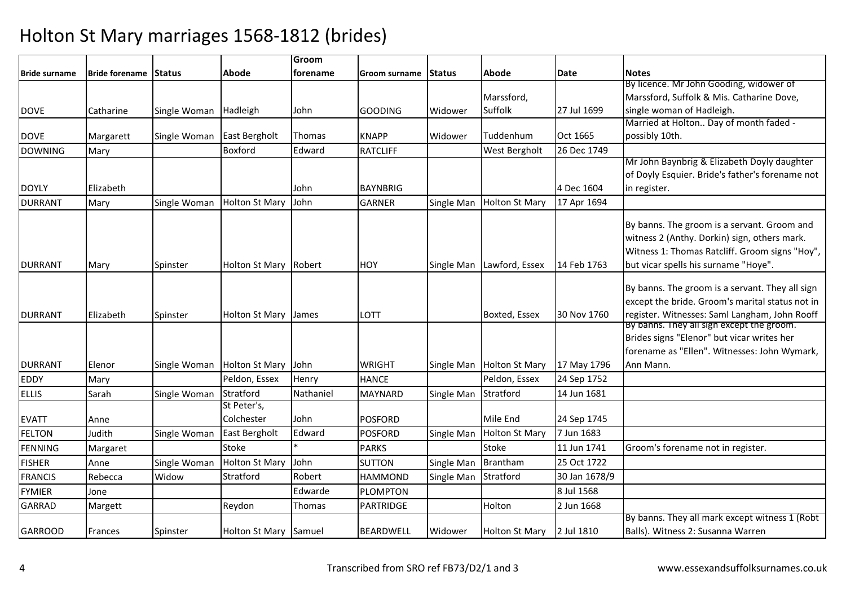|                      |                              |              |                       | Groom     |                  |               |                       |                   |                                                 |
|----------------------|------------------------------|--------------|-----------------------|-----------|------------------|---------------|-----------------------|-------------------|-------------------------------------------------|
| <b>Bride surname</b> | <b>Bride forename Status</b> |              | Abode                 | forename  | Groom surname    | <b>Status</b> | Abode                 | Date              | <b>Notes</b>                                    |
|                      |                              |              |                       |           |                  |               |                       |                   | By licence. Mr John Gooding, widower of         |
|                      |                              |              |                       |           |                  |               | Marssford,            |                   | Marssford, Suffolk & Mis. Catharine Dove,       |
| <b>DOVE</b>          | Catharine                    | Single Woman | Hadleigh              | John      | <b>GOODING</b>   | Widower       | Suffolk               | 27 Jul 1699       | single woman of Hadleigh.                       |
|                      |                              |              |                       |           |                  |               |                       |                   | Married at Holton Day of month faded -          |
| <b>DOVE</b>          | Margarett                    | Single Woman | East Bergholt         | Thomas    | <b>KNAPP</b>     | Widower       | Tuddenhum             | Oct 1665          | possibly 10th.                                  |
| <b>DOWNING</b>       | Mary                         |              | Boxford               | Edward    | <b>RATCLIFF</b>  |               | West Bergholt         | 26 Dec 1749       |                                                 |
|                      |                              |              |                       |           |                  |               |                       |                   | Mr John Baynbrig & Elizabeth Doyly daughter     |
|                      |                              |              |                       |           |                  |               |                       |                   | of Doyly Esquier. Bride's father's forename not |
| <b>DOYLY</b>         | Elizabeth                    |              |                       | John      | <b>BAYNBRIG</b>  |               |                       | 4 Dec 1604        | in register.                                    |
| <b>DURRANT</b>       | Mary                         | Single Woman | <b>Holton St Mary</b> | John      | <b>GARNER</b>    | Single Man    | <b>Holton St Mary</b> | 17 Apr 1694       |                                                 |
|                      |                              |              |                       |           |                  |               |                       |                   | By banns. The groom is a servant. Groom and     |
|                      |                              |              |                       |           |                  |               |                       |                   | witness 2 (Anthy. Dorkin) sign, others mark.    |
|                      |                              |              |                       |           |                  |               |                       |                   | Witness 1: Thomas Ratcliff. Groom signs "Hoy",  |
| <b>DURRANT</b>       | Mary                         | Spinster     | Holton St Mary        | Robert    | HOY              | Single Man    | Lawford, Essex        | 14 Feb 1763       | but vicar spells his surname "Hoye".            |
|                      |                              |              |                       |           |                  |               |                       |                   |                                                 |
|                      |                              |              |                       |           |                  |               |                       |                   | By banns. The groom is a servant. They all sign |
|                      |                              |              |                       |           |                  |               |                       |                   | except the bride. Groom's marital status not in |
| <b>DURRANT</b>       | Elizabeth                    | Spinster     | Holton St Mary        | James     | LOTT             |               | Boxted, Essex         | 30 Nov 1760       | register. Witnesses: Saml Langham, John Rooff   |
|                      |                              |              |                       |           |                  |               |                       |                   | By banns. They all sign except the groom.       |
|                      |                              |              |                       |           |                  |               |                       |                   | Brides signs "Elenor" but vicar writes her      |
|                      |                              |              |                       |           |                  |               |                       |                   | forename as "Ellen". Witnesses: John Wymark,    |
| <b>DURRANT</b>       | Elenor                       | Single Woman | <b>Holton St Mary</b> | John      | <b>WRIGHT</b>    | Single Man    | <b>Holton St Mary</b> | 17 May 1796       | Ann Mann.                                       |
| EDDY                 | Mary                         |              | Peldon, Essex         | Henry     | <b>HANCE</b>     |               | Peldon, Essex         | 24 Sep 1752       |                                                 |
| <b>ELLIS</b>         | Sarah                        | Single Woman | Stratford             | Nathaniel | <b>MAYNARD</b>   | Single Man    | Stratford             | 14 Jun 1681       |                                                 |
|                      |                              |              | St Peter's,           |           |                  |               |                       |                   |                                                 |
| <b>EVATT</b>         | Anne                         |              | Colchester            | John      | <b>POSFORD</b>   |               | Mile End              | 24 Sep 1745       |                                                 |
| <b>FELTON</b>        | Judith                       | Single Woman | East Bergholt         | Edward    | <b>POSFORD</b>   | Single Man    | <b>Holton St Mary</b> | 7 Jun 1683        |                                                 |
| <b>FENNING</b>       | Margaret                     |              | Stoke                 |           | <b>PARKS</b>     |               | Stoke                 | 11 Jun 1741       | Groom's forename not in register.               |
| <b>FISHER</b>        | Anne                         | Single Woman | <b>Holton St Mary</b> | John      | <b>SUTTON</b>    | Single Man    | Brantham              | 25 Oct 1722       |                                                 |
| <b>FRANCIS</b>       | Rebecca                      | Widow        | Stratford             | Robert    | <b>HAMMOND</b>   | Single Man    | Stratford             | 30 Jan 1678/9     |                                                 |
| <b>FYMIER</b>        | Jone                         |              |                       | Edwarde   | <b>PLOMPTON</b>  |               |                       | 8 Jul 1568        |                                                 |
| <b>GARRAD</b>        | Margett                      |              | Reydon                | Thomas    | PARTRIDGE        |               | Holton                | 2 Jun 1668        |                                                 |
|                      |                              |              |                       |           |                  |               |                       |                   | By banns. They all mark except witness 1 (Robt  |
| <b>GARROOD</b>       | Frances                      | Spinster     | <b>Holton St Mary</b> | Samuel    | <b>BEARDWELL</b> | Widower       | Holton St Mary        | <b>2 Jul 1810</b> | Balls). Witness 2: Susanna Warren               |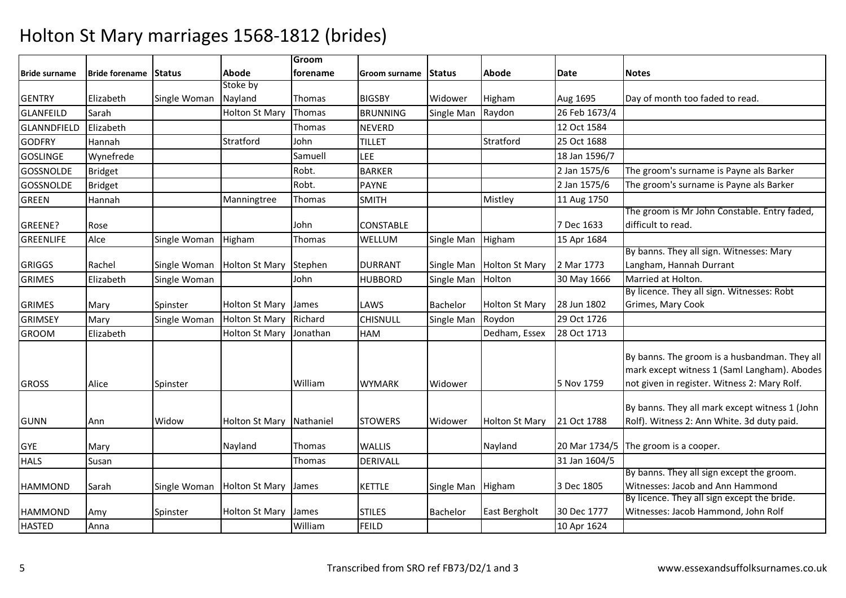|                  |                              |              |                       | Groom     |                  |               |                       |               |                                                                                                                                               |
|------------------|------------------------------|--------------|-----------------------|-----------|------------------|---------------|-----------------------|---------------|-----------------------------------------------------------------------------------------------------------------------------------------------|
| Bride surname    | <b>Bride forename Status</b> |              | Abode                 | forename  | Groom surname    | <b>Status</b> | Abode                 | Date          | <b>Notes</b>                                                                                                                                  |
|                  |                              |              | Stoke by              |           |                  |               |                       |               |                                                                                                                                               |
| <b>GENTRY</b>    | Elizabeth                    | Single Woman | Nayland               | Thomas    | <b>BIGSBY</b>    | Widower       | Higham                | Aug 1695      | Day of month too faded to read.                                                                                                               |
| <b>GLANFEILD</b> | Sarah                        |              | <b>Holton St Mary</b> | Thomas    | <b>BRUNNING</b>  | Single Man    | Raydon                | 26 Feb 1673/4 |                                                                                                                                               |
| GLANNDFIELD      | Elizabeth                    |              |                       | Thomas    | <b>NEVERD</b>    |               |                       | 12 Oct 1584   |                                                                                                                                               |
| <b>GODFRY</b>    | Hannah                       |              | Stratford             | John      | <b>TILLET</b>    |               | Stratford             | 25 Oct 1688   |                                                                                                                                               |
| <b>GOSLINGE</b>  | Wynefrede                    |              |                       | Samuell   | <b>LEE</b>       |               |                       | 18 Jan 1596/7 |                                                                                                                                               |
| <b>GOSSNOLDE</b> | <b>Bridget</b>               |              |                       | Robt.     | <b>BARKER</b>    |               |                       | 2 Jan 1575/6  | The groom's surname is Payne als Barker                                                                                                       |
| <b>GOSSNOLDE</b> | <b>Bridget</b>               |              |                       | Robt.     | <b>PAYNE</b>     |               |                       | 2 Jan 1575/6  | The groom's surname is Payne als Barker                                                                                                       |
| <b>GREEN</b>     | Hannah                       |              | Manningtree           | Thomas    | <b>SMITH</b>     |               | Mistley               | 11 Aug 1750   |                                                                                                                                               |
|                  |                              |              |                       |           |                  |               |                       |               | The groom is Mr John Constable. Entry faded,                                                                                                  |
| GREENE?          | Rose                         |              |                       | John      | <b>CONSTABLE</b> |               |                       | 7 Dec 1633    | difficult to read.                                                                                                                            |
| <b>GREENLIFE</b> | Alce                         | Single Woman | Higham                | Thomas    | WELLUM           | Single Man    | Higham                | 15 Apr 1684   |                                                                                                                                               |
|                  |                              |              |                       |           |                  |               |                       |               | By banns. They all sign. Witnesses: Mary                                                                                                      |
| <b>GRIGGS</b>    | Rachel                       | Single Woman | <b>Holton St Mary</b> | Stephen   | <b>DURRANT</b>   | Single Man    | <b>Holton St Mary</b> | 2 Mar 1773    | Langham, Hannah Durrant                                                                                                                       |
| <b>GRIMES</b>    | Elizabeth                    | Single Woman |                       | John      | <b>HUBBORD</b>   | Single Man    | Holton                | 30 May 1666   | Married at Holton.                                                                                                                            |
|                  |                              |              |                       |           |                  |               |                       |               | By licence. They all sign. Witnesses: Robt                                                                                                    |
| <b>GRIMES</b>    | Mary                         | Spinster     | <b>Holton St Mary</b> | James     | LAWS             | Bachelor      | <b>Holton St Mary</b> | 28 Jun 1802   | Grimes, Mary Cook                                                                                                                             |
| <b>GRIMSEY</b>   | Mary                         | Single Woman | <b>Holton St Mary</b> | Richard   | CHISNULL         | Single Man    | Roydon                | 29 Oct 1726   |                                                                                                                                               |
| <b>GROOM</b>     | Elizabeth                    |              | Holton St Mary        | Jonathan  | HAM              |               | Dedham, Essex         | 28 Oct 1713   |                                                                                                                                               |
| <b>GROSS</b>     | Alice                        | Spinster     |                       | William   | <b>WYMARK</b>    | Widower       |                       | 5 Nov 1759    | By banns. The groom is a husbandman. They all<br>mark except witness 1 (Saml Langham). Abodes<br>not given in register. Witness 2: Mary Rolf. |
| <b>GUNN</b>      | Ann                          | Widow        | <b>Holton St Mary</b> | Nathaniel | <b>STOWERS</b>   | Widower       | <b>Holton St Mary</b> | 21 Oct 1788   | By banns. They all mark except witness 1 (John<br>Rolf). Witness 2: Ann White. 3d duty paid.                                                  |
| <b>GYE</b>       | Mary                         |              | Nayland               | Thomas    | <b>WALLIS</b>    |               | Nayland               |               | 20 Mar 1734/5 The groom is a cooper.                                                                                                          |
| <b>HALS</b>      | Susan                        |              |                       | Thomas    | <b>DERIVALL</b>  |               |                       | 31 Jan 1604/5 |                                                                                                                                               |
|                  |                              |              |                       |           |                  |               |                       |               | By banns. They all sign except the groom.                                                                                                     |
| <b>HAMMOND</b>   | Sarah                        | Single Woman | <b>Holton St Mary</b> | James     | <b>KETTLE</b>    | Single Man    | Higham                | 3 Dec 1805    | Witnesses: Jacob and Ann Hammond                                                                                                              |
|                  |                              |              |                       |           |                  |               |                       |               | By licence. They all sign except the bride.                                                                                                   |
| <b>HAMMOND</b>   | Amy                          | Spinster     | Holton St Mary        | James     | <b>STILES</b>    | Bachelor      | East Bergholt         | 30 Dec 1777   | Witnesses: Jacob Hammond, John Rolf                                                                                                           |
| <b>HASTED</b>    | Anna                         |              |                       | William   | <b>FEILD</b>     |               |                       | 10 Apr 1624   |                                                                                                                                               |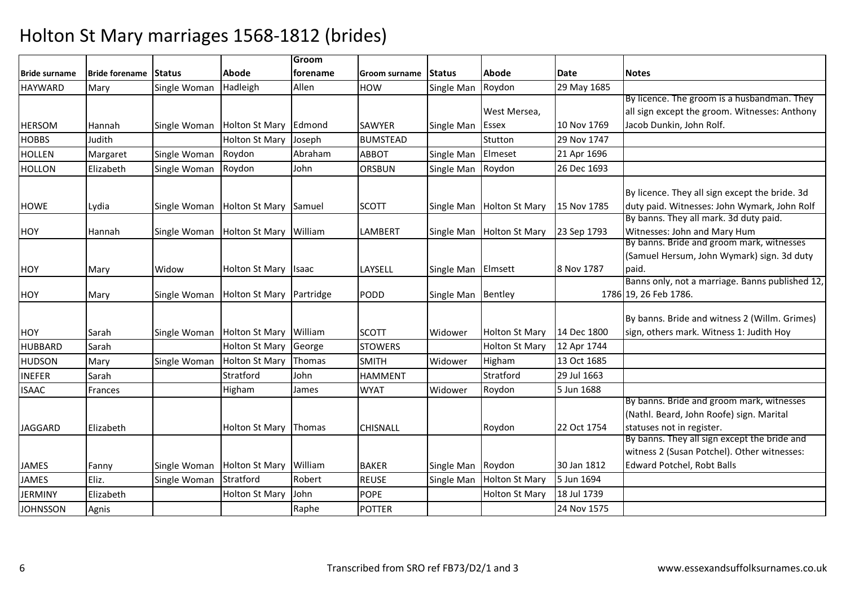|                      |                       |               |                          | Groom           |                 |                    |                       |             |                                                 |
|----------------------|-----------------------|---------------|--------------------------|-----------------|-----------------|--------------------|-----------------------|-------------|-------------------------------------------------|
| <b>Bride surname</b> | <b>Bride forename</b> | <b>Status</b> | Abode                    | <b>forename</b> | Groom surname   | <b>Status</b>      | <b>Abode</b>          | Date        | <b>Notes</b>                                    |
| HAYWARD              | Mary                  | Single Woman  | Hadleigh                 | Allen           | <b>HOW</b>      | Single Man         | Roydon                | 29 May 1685 |                                                 |
|                      |                       |               |                          |                 |                 |                    |                       |             | By licence. The groom is a husbandman. They     |
|                      |                       |               |                          |                 |                 |                    | West Mersea,          |             | all sign except the groom. Witnesses: Anthony   |
| <b>HERSOM</b>        | Hannah                | Single Woman  | Holton St Mary Edmond    |                 | <b>SAWYER</b>   | Single Man         | <b>Essex</b>          | 10 Nov 1769 | Jacob Dunkin, John Rolf.                        |
| <b>HOBBS</b>         | Judith                |               | <b>Holton St Mary</b>    | Joseph          | <b>BUMSTEAD</b> |                    | Stutton               | 29 Nov 1747 |                                                 |
| <b>HOLLEN</b>        | Margaret              | Single Woman  | Roydon                   | Abraham         | <b>ABBOT</b>    | Single Man         | Elmeset               | 21 Apr 1696 |                                                 |
| <b>HOLLON</b>        | Elizabeth             | Single Woman  | Roydon                   | John            | <b>ORSBUN</b>   | Single Man         | Roydon                | 26 Dec 1693 |                                                 |
|                      |                       |               |                          |                 |                 |                    |                       |             | By licence. They all sign except the bride. 3d  |
| <b>HOWE</b>          | Lydia                 | Single Woman  | Holton St Mary Samuel    |                 | <b>SCOTT</b>    | Single Man         | <b>Holton St Mary</b> | 15 Nov 1785 | duty paid. Witnesses: John Wymark, John Rolf    |
|                      |                       |               |                          |                 |                 |                    |                       |             | By banns. They all mark. 3d duty paid.          |
| <b>HOY</b>           | Hannah                | Single Woman  | Holton St Mary William   |                 | <b>LAMBERT</b>  | Single Man         | <b>Holton St Mary</b> | 23 Sep 1793 | Witnesses: John and Mary Hum                    |
|                      |                       |               |                          |                 |                 |                    |                       |             | By banns. Bride and groom mark, witnesses       |
|                      |                       |               |                          |                 |                 |                    |                       |             | (Samuel Hersum, John Wymark) sign. 3d duty      |
| <b>HOY</b>           | Mary                  | Widow         | <b>Holton St Mary</b>    | <b>Isaac</b>    | LAYSELL         | Single Man Elmsett |                       | 8 Nov 1787  | paid.                                           |
|                      |                       |               |                          |                 |                 |                    |                       |             | Banns only, not a marriage. Banns published 12, |
| <b>HOY</b>           | Mary                  | Single Woman  | Holton St Mary Partridge |                 | PODD            | Single Man Bentley |                       |             | 1786 19, 26 Feb 1786.                           |
|                      |                       |               |                          |                 |                 |                    |                       |             | By banns. Bride and witness 2 (Willm. Grimes)   |
| <b>HOY</b>           | Sarah                 | Single Woman  | <b>Holton St Mary</b>    | William         | <b>SCOTT</b>    | Widower            | <b>Holton St Mary</b> | 14 Dec 1800 | sign, others mark. Witness 1: Judith Hoy        |
| <b>HUBBARD</b>       | Sarah                 |               | <b>Holton St Mary</b>    | George          | <b>STOWERS</b>  |                    | <b>Holton St Mary</b> | 12 Apr 1744 |                                                 |
| <b>HUDSON</b>        | Mary                  | Single Woman  | <b>Holton St Mary</b>    | Thomas          | <b>SMITH</b>    | Widower            | Higham                | 13 Oct 1685 |                                                 |
| <b>INEFER</b>        | Sarah                 |               | Stratford                | John            | <b>HAMMENT</b>  |                    | Stratford             | 29 Jul 1663 |                                                 |
| <b>ISAAC</b>         | Frances               |               | Higham                   | James           | <b>WYAT</b>     | Widower            | Roydon                | 5 Jun 1688  |                                                 |
|                      |                       |               |                          |                 |                 |                    |                       |             | By banns. Bride and groom mark, witnesses       |
|                      |                       |               |                          |                 |                 |                    |                       |             | (Nathl. Beard, John Roofe) sign. Marital        |
| <b>JAGGARD</b>       | Elizabeth             |               | <b>Holton St Mary</b>    | Thomas          | <b>CHISNALL</b> |                    | Roydon                | 22 Oct 1754 | statuses not in register.                       |
|                      |                       |               |                          |                 |                 |                    |                       |             | By banns. They all sign except the bride and    |
|                      |                       |               |                          |                 |                 |                    |                       |             | witness 2 (Susan Potchel). Other witnesses:     |
| <b>JAMES</b>         | Fanny                 | Single Woman  | Holton St Mary William   |                 | <b>BAKER</b>    | Single Man Roydon  |                       | 30 Jan 1812 | Edward Potchel, Robt Balls                      |
| <b>JAMES</b>         | Eliz.                 | Single Woman  | Stratford                | Robert          | <b>REUSE</b>    | Single Man         | Holton St Mary        | 5 Jun 1694  |                                                 |
| <b>JERMINY</b>       | Elizabeth             |               | <b>Holton St Mary</b>    | John            | <b>POPE</b>     |                    | <b>Holton St Mary</b> | 18 Jul 1739 |                                                 |
| <b>JOHNSSON</b>      | Agnis                 |               |                          | Raphe           | <b>POTTER</b>   |                    |                       | 24 Nov 1575 |                                                 |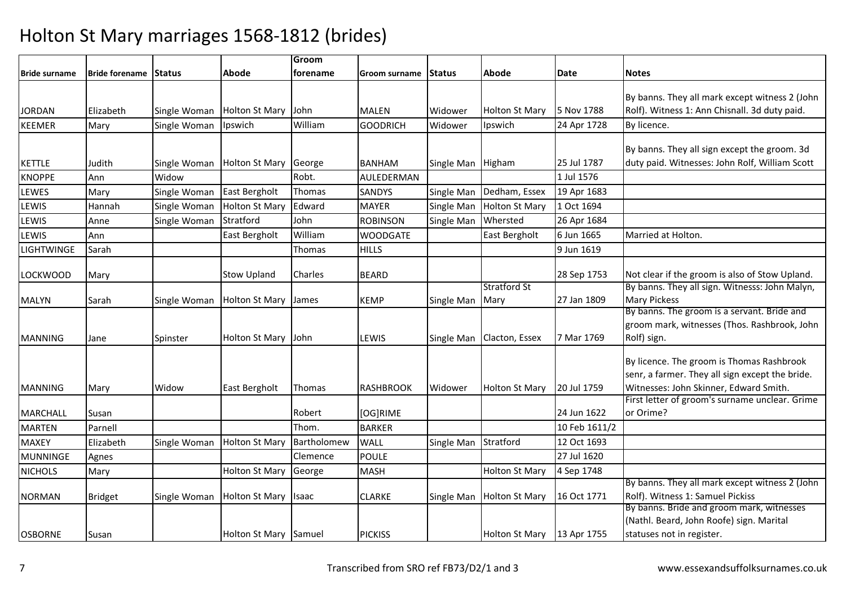|                      |                       |              |                       | Groom         |                  |               |                       |               |                                                                    |
|----------------------|-----------------------|--------------|-----------------------|---------------|------------------|---------------|-----------------------|---------------|--------------------------------------------------------------------|
| <b>Bride surname</b> | Bride forename Status |              | Abode                 | forename      | Groom surname    | <b>Status</b> | Abode                 | Date          | <b>Notes</b>                                                       |
|                      |                       |              |                       |               |                  |               |                       |               |                                                                    |
|                      |                       |              |                       |               |                  |               |                       |               | By banns. They all mark except witness 2 (John                     |
| <b>JORDAN</b>        | Elizabeth             | Single Woman | Holton St Mary        | John          | <b>MALEN</b>     | Widower       | <b>Holton St Mary</b> | 5 Nov 1788    | Rolf). Witness 1: Ann Chisnall. 3d duty paid.                      |
| <b>KEEMER</b>        | Mary                  | Single Woman | Ipswich               | William       | <b>GOODRICH</b>  | Widower       | Ipswich               | 24 Apr 1728   | By licence.                                                        |
|                      |                       |              |                       |               |                  |               |                       |               | By banns. They all sign except the groom. 3d                       |
| <b>KETTLE</b>        | Judith                | Single Woman | Holton St Mary        | George        | <b>BANHAM</b>    | Single Man    | Higham                | 25 Jul 1787   | duty paid. Witnesses: John Rolf, William Scott                     |
| <b>KNOPPE</b>        | Ann                   | Widow        |                       | Robt.         | AULEDERMAN       |               |                       | 1 Jul 1576    |                                                                    |
| <b>LEWES</b>         | Mary                  | Single Woman | East Bergholt         | <b>Thomas</b> | SANDYS           | Single Man    | Dedham, Essex         | 19 Apr 1683   |                                                                    |
| LEWIS                | Hannah                | Single Woman | <b>Holton St Mary</b> | Edward        | <b>MAYER</b>     | Single Man    | <b>Holton St Mary</b> | 1 Oct 1694    |                                                                    |
| <b>LEWIS</b>         | Anne                  | Single Woman | Stratford             | John          | <b>ROBINSON</b>  | Single Man    | Whersted              | 26 Apr 1684   |                                                                    |
| LEWIS                | Ann                   |              | East Bergholt         | William       | <b>WOODGATE</b>  |               | East Bergholt         | 6 Jun 1665    | Married at Holton.                                                 |
| <b>LIGHTWINGE</b>    | Sarah                 |              |                       | Thomas        | <b>HILLS</b>     |               |                       | 9 Jun 1619    |                                                                    |
|                      |                       |              |                       |               |                  |               |                       |               |                                                                    |
| <b>LOCKWOOD</b>      | Mary                  |              | <b>Stow Upland</b>    | Charles       | <b>BEARD</b>     |               |                       | 28 Sep 1753   | Not clear if the groom is also of Stow Upland.                     |
|                      |                       |              |                       |               |                  |               | <b>Stratford St</b>   |               | By banns. They all sign. Witnesss: John Malyn,                     |
| <b>MALYN</b>         | Sarah                 | Single Woman | <b>Holton St Mary</b> | James         | <b>KEMP</b>      | Single Man    | Mary                  | 27 Jan 1809   | <b>Mary Pickess</b><br>By banns. The groom is a servant. Bride and |
|                      |                       |              |                       |               |                  |               |                       |               | groom mark, witnesses (Thos. Rashbrook, John                       |
| <b>MANNING</b>       | Jane                  | Spinster     | Holton St Mary        | John          | LEWIS            | Single Man    | Clacton, Essex        | 7 Mar 1769    | Rolf) sign.                                                        |
|                      |                       |              |                       |               |                  |               |                       |               |                                                                    |
|                      |                       |              |                       |               |                  |               |                       |               | By licence. The groom is Thomas Rashbrook                          |
|                      |                       |              |                       |               |                  |               |                       |               | senr, a farmer. They all sign except the bride.                    |
| <b>MANNING</b>       | Mary                  | Widow        | East Bergholt         | Thomas        | <b>RASHBROOK</b> | Widower       | <b>Holton St Mary</b> | 20 Jul 1759   | Witnesses: John Skinner, Edward Smith.                             |
|                      |                       |              |                       |               |                  |               |                       |               | First letter of groom's surname unclear. Grime                     |
| <b>MARCHALL</b>      | Susan                 |              |                       | Robert        | [OG]RIME         |               |                       | 24 Jun 1622   | or Orime?                                                          |
| <b>MARTEN</b>        | Parnell               |              |                       | Thom.         | <b>BARKER</b>    |               |                       | 10 Feb 1611/2 |                                                                    |
| <b>MAXEY</b>         | Elizabeth             | Single Woman | <b>Holton St Mary</b> | Bartholomew   | <b>WALL</b>      | Single Man    | Stratford             | 12 Oct 1693   |                                                                    |
| <b>MUNNINGE</b>      | Agnes                 |              |                       | Clemence      | <b>POULE</b>     |               |                       | 27 Jul 1620   |                                                                    |
| <b>NICHOLS</b>       | Mary                  |              | <b>Holton St Mary</b> | George        | <b>MASH</b>      |               | <b>Holton St Mary</b> | 4 Sep 1748    |                                                                    |
|                      |                       |              |                       |               |                  |               |                       |               | By banns. They all mark except witness 2 (John                     |
| <b>NORMAN</b>        | <b>Bridget</b>        | Single Woman | <b>Holton St Mary</b> | Isaac         | <b>CLARKE</b>    | Single Man    | <b>Holton St Mary</b> | 16 Oct 1771   | Rolf). Witness 1: Samuel Pickiss                                   |
|                      |                       |              |                       |               |                  |               |                       |               | By banns. Bride and groom mark, witnesses                          |
|                      |                       |              |                       |               |                  |               |                       |               | (Nathl. Beard, John Roofe) sign. Marital                           |
| <b>OSBORNE</b>       | Susan                 |              | Holton St Mary Samuel |               | <b>PICKISS</b>   |               | <b>Holton St Mary</b> | 13 Apr 1755   | statuses not in register.                                          |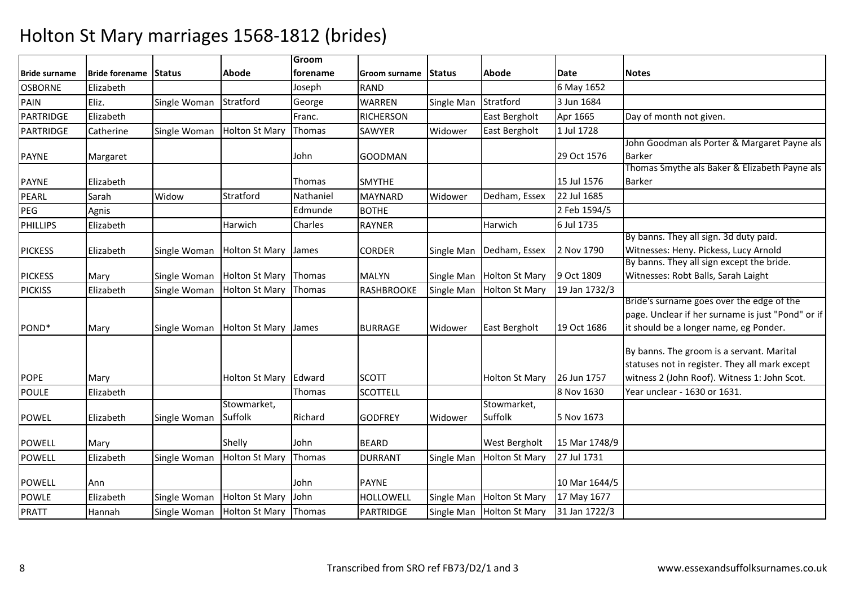|                      |                       |               |                       | Groom     |                  |               |                       |               |                                                   |
|----------------------|-----------------------|---------------|-----------------------|-----------|------------------|---------------|-----------------------|---------------|---------------------------------------------------|
| <b>Bride surname</b> | <b>Bride forename</b> | <b>Status</b> | Abode                 | forename  | Groom surname    | <b>Status</b> | Abode                 | Date          | <b>Notes</b>                                      |
| <b>OSBORNE</b>       | Elizabeth             |               |                       | Joseph    | <b>RAND</b>      |               |                       | 6 May 1652    |                                                   |
| <b>PAIN</b>          | Eliz.                 | Single Woman  | Stratford             | George    | <b>WARREN</b>    | Single Man    | Stratford             | 3 Jun 1684    |                                                   |
| PARTRIDGE            | Elizabeth             |               |                       | Franc.    | <b>RICHERSON</b> |               | East Bergholt         | Apr 1665      | Day of month not given.                           |
| <b>PARTRIDGE</b>     | Catherine             | Single Woman  | <b>Holton St Mary</b> | Thomas    | SAWYER           | Widower       | East Bergholt         | 1 Jul 1728    |                                                   |
|                      |                       |               |                       |           |                  |               |                       |               | John Goodman als Porter & Margaret Payne als      |
| <b>PAYNE</b>         | Margaret              |               |                       | John      | <b>GOODMAN</b>   |               |                       | 29 Oct 1576   | <b>Barker</b>                                     |
|                      |                       |               |                       |           |                  |               |                       |               | Thomas Smythe als Baker & Elizabeth Payne als     |
| <b>PAYNE</b>         | Elizabeth             |               |                       | Thomas    | <b>SMYTHE</b>    |               |                       | 15 Jul 1576   | <b>Barker</b>                                     |
| PEARL                | Sarah                 | Widow         | Stratford             | Nathaniel | <b>MAYNARD</b>   | Widower       | Dedham, Essex         | 22 Jul 1685   |                                                   |
| PEG                  | Agnis                 |               |                       | Edmunde   | <b>BOTHE</b>     |               |                       | 2 Feb 1594/5  |                                                   |
| <b>PHILLIPS</b>      | Elizabeth             |               | Harwich               | Charles   | <b>RAYNER</b>    |               | Harwich               | 6 Jul 1735    |                                                   |
|                      |                       |               |                       |           |                  |               |                       |               | By banns. They all sign. 3d duty paid.            |
| <b>PICKESS</b>       | Elizabeth             | Single Woman  | <b>Holton St Mary</b> | James     | <b>CORDER</b>    | Single Man    | Dedham, Essex         | 2 Nov 1790    | Witnesses: Heny. Pickess, Lucy Arnold             |
|                      |                       |               |                       |           |                  |               |                       |               | By banns. They all sign except the bride.         |
| <b>PICKESS</b>       | Mary                  | Single Woman  | <b>Holton St Mary</b> | Thomas    | <b>MALYN</b>     | Single Man    | <b>Holton St Mary</b> | 9 Oct 1809    | Witnesses: Robt Balls, Sarah Laight               |
| <b>PICKISS</b>       | Elizabeth             | Single Woman  | <b>Holton St Mary</b> | Thomas    | RASHBROOKE       | Single Man    | <b>Holton St Mary</b> | 19 Jan 1732/3 |                                                   |
|                      |                       |               |                       |           |                  |               |                       |               | Bride's surname goes over the edge of the         |
|                      |                       |               |                       |           |                  |               |                       |               | page. Unclear if her surname is just "Pond" or if |
| POND <sup>*</sup>    | Mary                  | Single Woman  | <b>Holton St Mary</b> | James     | <b>BURRAGE</b>   | Widower       | <b>East Bergholt</b>  | 19 Oct 1686   | it should be a longer name, eg Ponder.            |
|                      |                       |               |                       |           |                  |               |                       |               | By banns. The groom is a servant. Marital         |
|                      |                       |               |                       |           |                  |               |                       |               | statuses not in register. They all mark except    |
| <b>POPE</b>          | Mary                  |               | <b>Holton St Mary</b> | Edward    | <b>SCOTT</b>     |               | <b>Holton St Mary</b> | 26 Jun 1757   | witness 2 (John Roof). Witness 1: John Scot.      |
| <b>POULE</b>         | Elizabeth             |               |                       | Thomas    | <b>SCOTTELL</b>  |               |                       | 8 Nov 1630    | Year unclear - 1630 or 1631.                      |
|                      |                       |               | Stowmarket,           |           |                  |               | Stowmarket,           |               |                                                   |
| <b>POWEL</b>         | Elizabeth             | Single Woman  | Suffolk               | Richard   | <b>GODFREY</b>   | Widower       | Suffolk               | 5 Nov 1673    |                                                   |
|                      |                       |               |                       |           |                  |               |                       |               |                                                   |
| <b>POWELL</b>        | Mary                  |               | Shelly                | John      | <b>BEARD</b>     |               | <b>West Bergholt</b>  | 15 Mar 1748/9 |                                                   |
| <b>POWELL</b>        | Elizabeth             | Single Woman  | <b>Holton St Mary</b> | Thomas    | <b>DURRANT</b>   | Single Man    | <b>Holton St Mary</b> | 27 Jul 1731   |                                                   |
|                      |                       |               |                       |           |                  |               |                       |               |                                                   |
| <b>POWELL</b>        | Ann                   |               |                       | John      | <b>PAYNE</b>     |               |                       | 10 Mar 1644/5 |                                                   |
| <b>POWLE</b>         | Elizabeth             | Single Woman  | <b>Holton St Mary</b> | John      | HOLLOWELL        | Single Man    | <b>Holton St Mary</b> | 17 May 1677   |                                                   |
| <b>PRATT</b>         | Hannah                | Single Woman  | <b>Holton St Mary</b> | Thomas    | <b>PARTRIDGE</b> | Single Man    | <b>Holton St Mary</b> | 31 Jan 1722/3 |                                                   |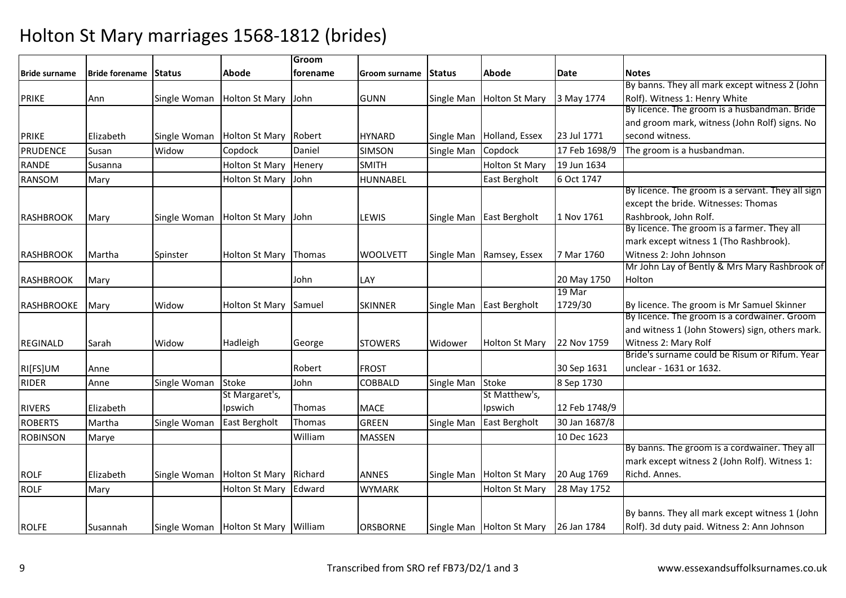|                      |                       |              |                                     | Groom           |                      |            |                           |               |                                                   |
|----------------------|-----------------------|--------------|-------------------------------------|-----------------|----------------------|------------|---------------------------|---------------|---------------------------------------------------|
| <b>Bride surname</b> | Bride forename Status |              | Abode                               | <b>forename</b> | Groom surname Status |            | Abode                     | Date          | <b>Notes</b>                                      |
|                      |                       |              |                                     |                 |                      |            |                           |               | By banns. They all mark except witness 2 (John    |
| <b>PRIKE</b>         | Ann                   | Single Woman | <b>Holton St Mary</b>               | John            | <b>GUNN</b>          | Single Man | <b>Holton St Mary</b>     | 3 May 1774    | Rolf). Witness 1: Henry White                     |
|                      |                       |              |                                     |                 |                      |            |                           |               | By licence. The groom is a husbandman. Bride      |
|                      |                       |              |                                     |                 |                      |            |                           |               | and groom mark, witness (John Rolf) signs. No     |
| <b>PRIKE</b>         | Elizabeth             | Single Woman | Holton St Mary Robert               |                 | <b>HYNARD</b>        | Single Man | Holland, Essex            | 23 Jul 1771   | second witness.                                   |
| <b>PRUDENCE</b>      | Susan                 | Widow        | Copdock                             | Daniel          | <b>SIMSON</b>        | Single Man | Copdock                   | 17 Feb 1698/9 | The groom is a husbandman.                        |
| <b>RANDE</b>         | Susanna               |              | <b>Holton St Mary</b>               | Henery          | <b>SMITH</b>         |            | <b>Holton St Mary</b>     | 19 Jun 1634   |                                                   |
| <b>RANSOM</b>        | Mary                  |              | <b>Holton St Mary</b>               | John            | HUNNABEL             |            | East Bergholt             | 6 Oct 1747    |                                                   |
|                      |                       |              |                                     |                 |                      |            |                           |               | By licence. The groom is a servant. They all sign |
|                      |                       |              |                                     |                 |                      |            |                           |               | except the bride. Witnesses: Thomas               |
| <b>RASHBROOK</b>     | Mary                  | Single Woman | Holton St Mary John                 |                 | LEWIS                | Single Man | East Bergholt             | 1 Nov 1761    | Rashbrook, John Rolf.                             |
|                      |                       |              |                                     |                 |                      |            |                           |               | By licence. The groom is a farmer. They all       |
|                      |                       |              |                                     |                 |                      |            |                           |               | mark except witness 1 (Tho Rashbrook).            |
| <b>RASHBROOK</b>     | Martha                | Spinster     | <b>Holton St Mary</b>               | Thomas          | <b>WOOLVETT</b>      | Single Man | Ramsey, Essex             | 7 Mar 1760    | Witness 2: John Johnson                           |
|                      |                       |              |                                     |                 |                      |            |                           |               | Mr John Lay of Bently & Mrs Mary Rashbrook of     |
| RASHBROOK            | Mary                  |              |                                     | John            | LAY                  |            |                           | 20 May 1750   | Holton                                            |
|                      |                       |              |                                     |                 |                      |            |                           | 19 Mar        |                                                   |
| <b>RASHBROOKE</b>    | Mary                  | Widow        | <b>Holton St Mary</b>               | Samuel          | <b>SKINNER</b>       |            | Single Man East Bergholt  | 1729/30       | By licence. The groom is Mr Samuel Skinner        |
|                      |                       |              |                                     |                 |                      |            |                           |               | By licence. The groom is a cordwainer. Groom      |
|                      |                       |              |                                     |                 |                      |            |                           |               | and witness 1 (John Stowers) sign, others mark.   |
| <b>REGINALD</b>      | Sarah                 | Widow        | Hadleigh                            | George          | <b>STOWERS</b>       | Widower    | <b>Holton St Mary</b>     | 22 Nov 1759   | Witness 2: Mary Rolf                              |
|                      |                       |              |                                     |                 |                      |            |                           |               | Bride's surname could be Risum or Rifum. Year     |
| RI[FS]UM             | Anne                  |              |                                     | Robert          | <b>FROST</b>         |            |                           | 30 Sep 1631   | unclear - 1631 or 1632.                           |
| <b>RIDER</b>         | Anne                  | Single Woman | Stoke                               | John            | <b>COBBALD</b>       | Single Man | Stoke                     | 8 Sep 1730    |                                                   |
|                      |                       |              | St Margaret's,                      |                 |                      |            | St Matthew's,             |               |                                                   |
| <b>RIVERS</b>        | Elizabeth             |              | Ipswich                             | Thomas          | <b>MACE</b>          |            | Ipswich                   | 12 Feb 1748/9 |                                                   |
| <b>ROBERTS</b>       | Martha                | Single Woman | East Bergholt                       | Thomas          | <b>GREEN</b>         | Single Man | East Bergholt             | 30 Jan 1687/8 |                                                   |
| <b>ROBINSON</b>      | Marye                 |              |                                     | William         | MASSEN               |            |                           | 10 Dec 1623   |                                                   |
|                      |                       |              |                                     |                 |                      |            |                           |               | By banns. The groom is a cordwainer. They all     |
|                      |                       |              |                                     |                 |                      |            |                           |               | mark except witness 2 (John Rolf). Witness 1:     |
| <b>ROLF</b>          | Elizabeth             | Single Woman | Holton St Mary Richard              |                 | <b>ANNES</b>         | Single Man | <b>Holton St Mary</b>     | 20 Aug 1769   | Richd. Annes.                                     |
| <b>ROLF</b>          | Mary                  |              | <b>Holton St Mary</b>               | Edward          | <b>WYMARK</b>        |            | <b>Holton St Mary</b>     | 28 May 1752   |                                                   |
|                      |                       |              |                                     |                 |                      |            |                           |               |                                                   |
|                      |                       |              |                                     |                 |                      |            |                           |               | By banns. They all mark except witness 1 (John    |
| <b>ROLFE</b>         | Susannah              |              | Single Woman Holton St Mary William |                 | <b>ORSBORNE</b>      |            | Single Man Holton St Mary | 26 Jan 1784   | Rolf). 3d duty paid. Witness 2: Ann Johnson       |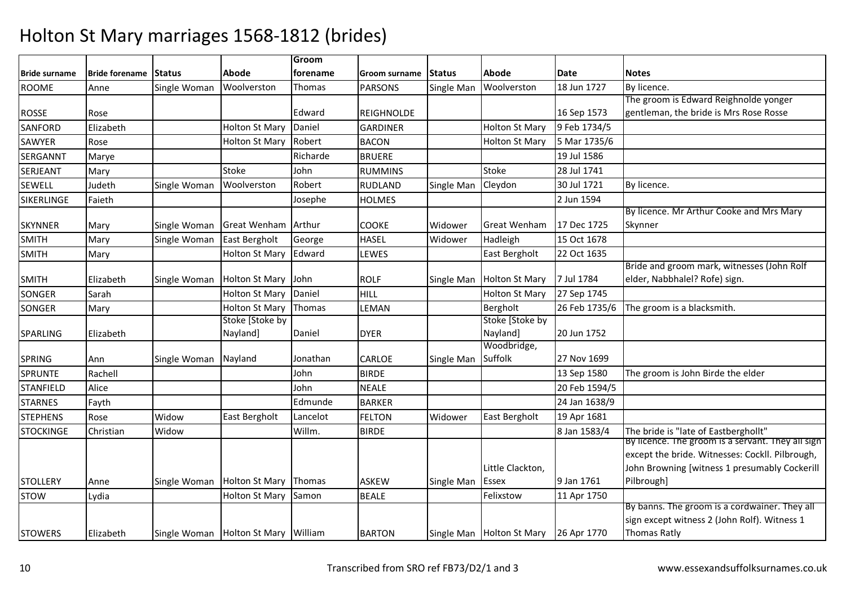|                  |                              |              |                                         | Groom    |                   |               |                           |               |                                                   |
|------------------|------------------------------|--------------|-----------------------------------------|----------|-------------------|---------------|---------------------------|---------------|---------------------------------------------------|
| Bride surname    | <b>Bride forename Status</b> |              | Abode                                   | forename | Groom surname     | <b>Status</b> | Abode                     | <b>Date</b>   | <b>Notes</b>                                      |
| <b>ROOME</b>     | Anne                         | Single Woman | Woolverston                             | Thomas   | <b>PARSONS</b>    | Single Man    | Woolverston               | 18 Jun 1727   | By licence.                                       |
|                  |                              |              |                                         |          |                   |               |                           |               | The groom is Edward Reighnolde yonger             |
| <b>ROSSE</b>     | Rose                         |              |                                         | Edward   | <b>REIGHNOLDE</b> |               |                           | 16 Sep 1573   | gentleman, the bride is Mrs Rose Rosse            |
| <b>SANFORD</b>   | Elizabeth                    |              | <b>Holton St Mary</b>                   | Daniel   | <b>GARDINER</b>   |               | Holton St Mary            | 9 Feb 1734/5  |                                                   |
| <b>SAWYER</b>    | Rose                         |              | <b>Holton St Mary</b>                   | Robert   | <b>BACON</b>      |               | <b>Holton St Mary</b>     | 5 Mar 1735/6  |                                                   |
| <b>SERGANNT</b>  | Marye                        |              |                                         | Richarde | <b>BRUERE</b>     |               |                           | 19 Jul 1586   |                                                   |
| SERJEANT         | Mary                         |              | Stoke                                   | John     | <b>RUMMINS</b>    |               | Stoke                     | 28 Jul 1741   |                                                   |
| <b>SEWELL</b>    | Judeth                       | Single Woman | Woolverston                             | Robert   | <b>RUDLAND</b>    | Single Man    | Cleydon                   | 30 Jul 1721   | By licence.                                       |
| SIKERLINGE       | Faieth                       |              |                                         | Josephe  | <b>HOLMES</b>     |               |                           | 2 Jun 1594    |                                                   |
|                  |                              |              |                                         |          |                   |               |                           |               | By licence. Mr Arthur Cooke and Mrs Mary          |
| <b>SKYNNER</b>   | Mary                         | Single Woman | Great Wenham                            | Arthur   | <b>COOKE</b>      | Widower       | <b>Great Wenham</b>       | 17 Dec 1725   | Skynner                                           |
| <b>SMITH</b>     | Mary                         | Single Woman | East Bergholt                           | George   | <b>HASEL</b>      | Widower       | Hadleigh                  | 15 Oct 1678   |                                                   |
| <b>SMITH</b>     | Mary                         |              | <b>Holton St Mary</b>                   | Edward   | LEWES             |               | East Bergholt             | 22 Oct 1635   |                                                   |
|                  |                              |              |                                         |          |                   |               |                           |               | Bride and groom mark, witnesses (John Rolf        |
| <b>SMITH</b>     | Elizabeth                    | Single Woman | <b>Holton St Mary</b>                   | John.    | <b>ROLF</b>       | Single Man    | <b>Holton St Mary</b>     | 7 Jul 1784    | elder, Nabbhalel? Rofe) sign.                     |
| <b>SONGER</b>    | Sarah                        |              | <b>Holton St Mary</b>                   | Daniel   | HILL              |               | Holton St Mary            | 27 Sep 1745   |                                                   |
| <b>SONGER</b>    | Mary                         |              | <b>Holton St Mary</b>                   | Thomas   | LEMAN             |               | Bergholt                  | 26 Feb 1735/6 | The groom is a blacksmith.                        |
|                  |                              |              | Stoke [Stoke by                         |          |                   |               | Stoke [Stoke by           |               |                                                   |
| <b>SPARLING</b>  | Elizabeth                    |              | Nayland]                                | Daniel   | <b>DYER</b>       |               | Nayland]                  | 20 Jun 1752   |                                                   |
|                  |                              |              |                                         |          |                   |               | Woodbridge,               |               |                                                   |
| <b>SPRING</b>    | Ann                          | Single Woman | Nayland                                 | Jonathan | <b>CARLOE</b>     | Single Man    | Suffolk                   | 27 Nov 1699   |                                                   |
| <b>SPRUNTE</b>   | Rachell                      |              |                                         | John     | <b>BIRDE</b>      |               |                           | 13 Sep 1580   | The groom is John Birde the elder                 |
| <b>STANFIELD</b> | Alice                        |              |                                         | John     | <b>NEALE</b>      |               |                           | 20 Feb 1594/5 |                                                   |
| <b>STARNES</b>   | Fayth                        |              |                                         | Edmunde  | <b>BARKER</b>     |               |                           | 24 Jan 1638/9 |                                                   |
| <b>STEPHENS</b>  | Rose                         | Widow        | East Bergholt                           | Lancelot | <b>FELTON</b>     | Widower       | East Bergholt             | 19 Apr 1681   |                                                   |
| <b>STOCKINGE</b> | Christian                    | Widow        |                                         | Willm.   | <b>BIRDE</b>      |               |                           | 8 Jan 1583/4  | The bride is "late of Eastberghollt"              |
|                  |                              |              |                                         |          |                   |               |                           |               | By licence. The groom is a servant. They all sign |
|                  |                              |              |                                         |          |                   |               |                           |               | except the bride. Witnesses: Cockll. Pilbrough,   |
|                  |                              |              |                                         |          |                   |               | Little Clackton,          |               | John Browning [witness 1 presumably Cockerill     |
| <b>STOLLERY</b>  | Anne                         | Single Woman | <b>Holton St Mary</b>                   | Thomas   | <b>ASKEW</b>      | Single Man    | Essex                     | 9 Jan 1761    | Pilbrough]                                        |
| <b>STOW</b>      | Lydia                        |              | <b>Holton St Mary</b>                   | Samon    | <b>BEALE</b>      |               | Felixstow                 | 11 Apr 1750   | By banns. The groom is a cordwainer. They all     |
|                  |                              |              |                                         |          |                   |               |                           |               | sign except witness 2 (John Rolf). Witness 1      |
| <b>STOWERS</b>   | Elizabeth                    |              | Single Woman   Holton St Mary   William |          | <b>BARTON</b>     |               | Single Man Holton St Mary | 26 Apr 1770   | Thomas Ratly                                      |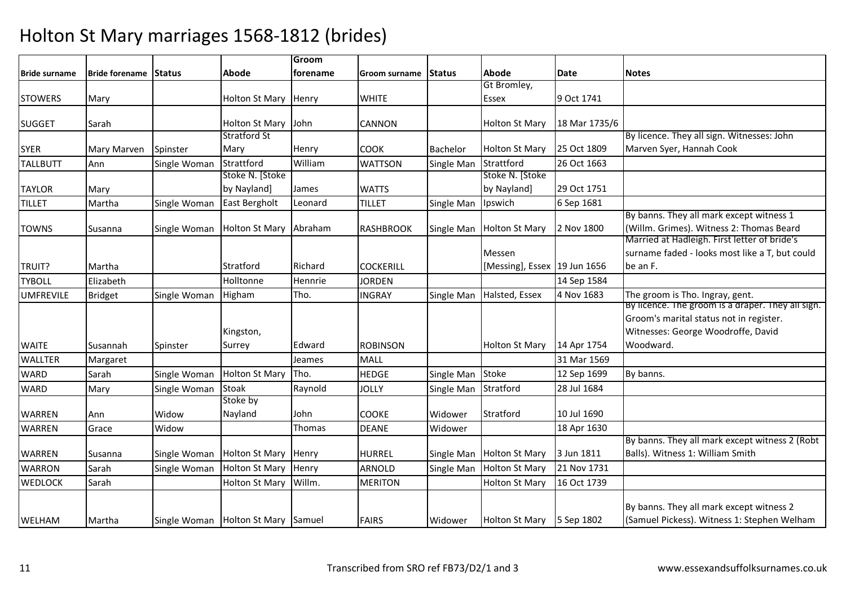|                      |                       |               |                       | Groom    |                  |                |                              |               |                                                   |
|----------------------|-----------------------|---------------|-----------------------|----------|------------------|----------------|------------------------------|---------------|---------------------------------------------------|
| <b>Bride surname</b> | <b>Bride forename</b> | <b>Status</b> | Abode                 | forename | Groom surname    | <b>IStatus</b> | Abode                        | Date          | <b>Notes</b>                                      |
|                      |                       |               |                       |          |                  |                | Gt Bromley,                  |               |                                                   |
| <b>STOWERS</b>       | Mary                  |               | <b>Holton St Mary</b> | Henry    | <b>WHITE</b>     |                | <b>Essex</b>                 | 9 Oct 1741    |                                                   |
|                      |                       |               |                       |          |                  |                |                              |               |                                                   |
| <b>SUGGET</b>        | Sarah                 |               | <b>Holton St Mary</b> | John     | <b>CANNON</b>    |                | <b>Holton St Mary</b>        | 18 Mar 1735/6 |                                                   |
|                      |                       |               | <b>Stratford St</b>   |          |                  |                |                              |               | By licence. They all sign. Witnesses: John        |
| <b>SYER</b>          | Mary Marven           | Spinster      | Mary                  | Henry    | <b>COOK</b>      | Bachelor       | Holton St Mary               | 25 Oct 1809   | Marven Syer, Hannah Cook                          |
| <b>TALLBUTT</b>      | Ann                   | Single Woman  | Strattford            | William  | <b>WATTSON</b>   | Single Man     | Strattford                   | 26 Oct 1663   |                                                   |
|                      |                       |               | Stoke N. [Stoke       |          |                  |                | Stoke N. [Stoke              |               |                                                   |
| TAYLOR               | Mary                  |               | by Nayland]           | James    | <b>WATTS</b>     |                | by Nayland]                  | 29 Oct 1751   |                                                   |
| <b>TILLET</b>        | Martha                | Single Woman  | East Bergholt         | Leonard  | <b>TILLET</b>    | Single Man     | Ipswich                      | 6 Sep 1681    |                                                   |
|                      |                       |               |                       |          |                  |                |                              |               | By banns. They all mark except witness 1          |
| <b>TOWNS</b>         | Susanna               | Single Woman  | <b>Holton St Mary</b> | Abraham  | <b>RASHBROOK</b> | Single Man     | <b>Holton St Mary</b>        | 2 Nov 1800    | (Willm. Grimes). Witness 2: Thomas Beard          |
|                      |                       |               |                       |          |                  |                |                              |               | Married at Hadleigh. First letter of bride's      |
|                      |                       |               |                       |          |                  |                | Messen                       |               | surname faded - looks most like a T, but could    |
| TRUIT?               | Martha                |               | Stratford             | Richard  | <b>COCKERILL</b> |                | [Messing], Essex 19 Jun 1656 |               | be an F.                                          |
| <b>TYBOLL</b>        | Elizabeth             |               | Holltonne             | Hennrie  | <b>JORDEN</b>    |                |                              | 14 Sep 1584   |                                                   |
| <b>UMFREVILE</b>     | <b>Bridget</b>        | Single Woman  | Higham                | Tho.     | <b>INGRAY</b>    | Single Man     | Halsted, Essex               | 4 Nov 1683    | The groom is Tho. Ingray, gent.                   |
|                      |                       |               |                       |          |                  |                |                              |               | By licence. The groom is a draper. They all sign. |
|                      |                       |               |                       |          |                  |                |                              |               | Groom's marital status not in register.           |
|                      |                       |               | Kingston,             |          |                  |                |                              |               | Witnesses: George Woodroffe, David                |
| <b>WAITE</b>         | Susannah              | Spinster      | Surrey                | Edward   | <b>ROBINSON</b>  |                | <b>Holton St Mary</b>        | 14 Apr 1754   | Woodward.                                         |
| <b>WALLTER</b>       | Margaret              |               |                       | Jeames   | <b>MALL</b>      |                |                              | 31 Mar 1569   |                                                   |
| <b>WARD</b>          | Sarah                 | Single Woman  | <b>Holton St Mary</b> | Tho.     | <b>HEDGE</b>     | Single Man     | <b>Stoke</b>                 | 12 Sep 1699   | By banns.                                         |
| <b>WARD</b>          | Mary                  | Single Woman  | Stoak                 | Raynold  | <b>JOLLY</b>     | Single Man     | Stratford                    | 28 Jul 1684   |                                                   |
|                      |                       |               | Stoke by              |          |                  |                |                              |               |                                                   |
| <b>WARREN</b>        | Ann                   | Widow         | Nayland               | John     | <b>COOKE</b>     | Widower        | Stratford                    | 10 Jul 1690   |                                                   |
| <b>WARREN</b>        | Grace                 | Widow         |                       | Thomas   | <b>DEANE</b>     | Widower        |                              | 18 Apr 1630   |                                                   |
|                      |                       |               |                       |          |                  |                |                              |               | By banns. They all mark except witness 2 (Robt    |
| <b>WARREN</b>        | Susanna               | Single Woman  | <b>Holton St Mary</b> | Henry    | <b>HURREL</b>    | Single Man     | Holton St Mary               | 3 Jun 1811    | Balls). Witness 1: William Smith                  |
| <b>WARRON</b>        | Sarah                 | Single Woman  | <b>Holton St Mary</b> | Henry    | <b>ARNOLD</b>    | Single Man     | <b>Holton St Mary</b>        | 21 Nov 1731   |                                                   |
| <b>WEDLOCK</b>       | Sarah                 |               | <b>Holton St Mary</b> | Willm.   | <b>MERITON</b>   |                | <b>Holton St Mary</b>        | 16 Oct 1739   |                                                   |
|                      |                       |               |                       |          |                  |                |                              |               | By banns. They all mark except witness 2          |
| <b>WELHAM</b>        | Martha                | Single Woman  | Holton St Mary Samuel |          | <b>FAIRS</b>     | Widower        | Holton St Mary 5 Sep 1802    |               | (Samuel Pickess). Witness 1: Stephen Welham       |